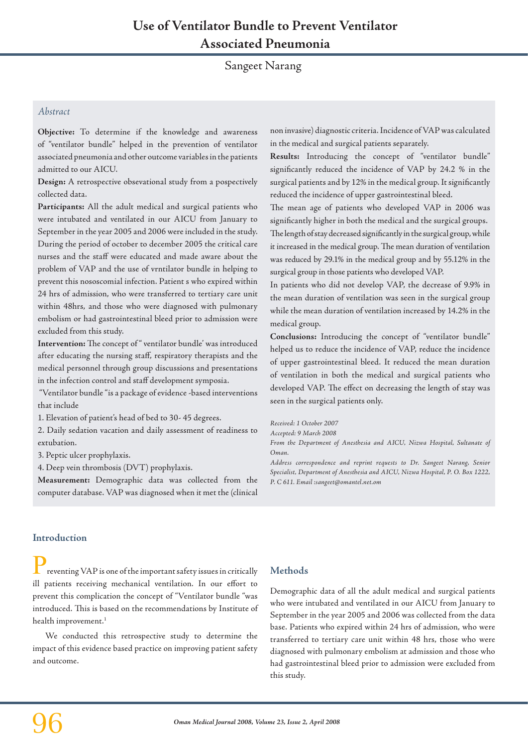# Sangeet Narang

## *Abstract*

**Objective:** To determine if the knowledge and awareness of "ventilator bundle" helped in the prevention of ventilator associated pneumonia and other outcome variables in the patients admitted to our AICU.

**Design:** A retrospective obsevational study from a pospectively collected data.

**Participants:** All the adult medical and surgical patients who were intubated and ventilated in our AICU from January to September in the year 2005 and 2006 were included in the study. During the period of october to december 2005 the critical care nurses and the staff were educated and made aware about the problem of VAP and the use of vrntilator bundle in helping to prevent this nososcomial infection. Patient s who expired within 24 hrs of admission, who were transferred to tertiary care unit within 48hrs, and those who were diagnosed with pulmonary embolism or had gastrointestinal bleed prior to admission were excluded from this study.

**Intervention:** The concept of " ventilator bundle' was introduced after educating the nursing staff, respiratory therapists and the medical personnel through group discussions and presentations in the infection control and staff development symposia.

 "Ventilator bundle "is a package of evidence -based interventions that include

1. Elevation of patient's head of bed to 30- 45 degrees.

2. Daily sedation vacation and daily assessment of readiness to extubation.

3. Peptic ulcer prophylaxis.

4. Deep vein thrombosis (DVT) prophylaxis.

**Measurement:** Demographic data was collected from the computer database. VAP was diagnosed when it met the (clinical non invasive) diagnostic criteria. Incidence of VAP was calculated in the medical and surgical patients separately.

**Results:** Introducing the concept of "ventilator bundle" significantly reduced the incidence of VAP by 24.2 % in the surgical patients and by 12% in the medical group. It significantly reduced the incidence of upper gastrointestinal bleed.

The mean age of patients who developed VAP in 2006 was significantly higher in both the medical and the surgical groups. The length of stay decreased significantly in the surgical group, while it increased in the medical group. The mean duration of ventilation was reduced by 29.1% in the medical group and by 55.12% in the surgical group in those patients who developed VAP.

In patients who did not develop VAP, the decrease of 9.9% in the mean duration of ventilation was seen in the surgical group while the mean duration of ventilation increased by 14.2% in the medical group.

**Conclusions:** Introducing the concept of "ventilator bundle" helped us to reduce the incidence of VAP, reduce the incidence of upper gastrointestinal bleed. It reduced the mean duration of ventilation in both the medical and surgical patients who developed VAP. The effect on decreasing the length of stay was seen in the surgical patients only.

*Received: 1 October 2007* 

*Accepted: 9 March 2008*

From the Department of Anesthesia and AICU, Nizwa Hospital, Sultanate of *Oman.*

*Address correspondence and reprint requests to Dr. Sangeet Narang, Senior Specialist, Department of Anesthesia and AICU, Nizwa Hospital, P. O. Box 1222, P. C 611. Email :sangeet@omantel.net.om*

## **Introduction**

reventing VAP is one of the important safety issues in critically ill patients receiving mechanical ventilation. In our effort to prevent this complication the concept of "Ventilator bundle "was introduced. This is based on the recommendations by Institute of health improvement.<sup>1</sup>

We conducted this retrospective study to determine the impact of this evidence based practice on improving patient safety and outcome.

## **Methods**

Demographic data of all the adult medical and surgical patients who were intubated and ventilated in our AICU from January to September in the year 2005 and 2006 was collected from the data base. Patients who expired within 24 hrs of admission, who were transferred to tertiary care unit within 48 hrs, those who were diagnosed with pulmonary embolism at admission and those who had gastrointestinal bleed prior to admission were excluded from this study.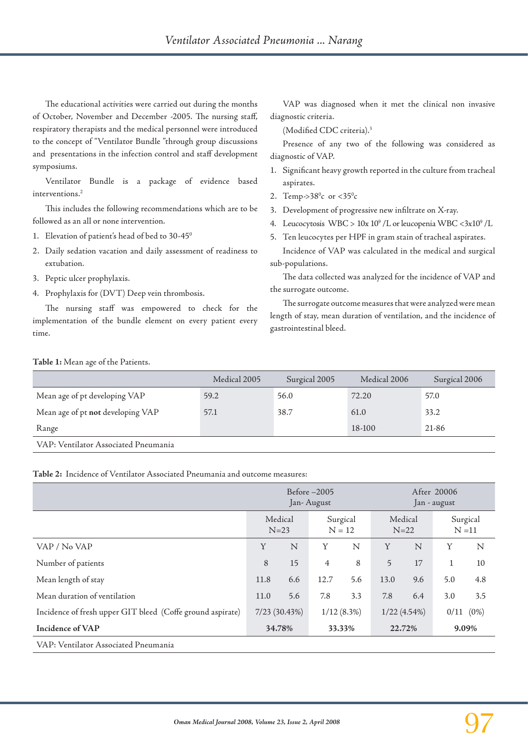The educational activities were carried out during the months of October, November and December -2005. The nursing staff, respiratory therapists and the medical personnel were introduced to the concept of "Ventilator Bundle "through group discussions and presentations in the infection control and staff development symposiums.

Ventilator Bundle is a package of evidence based interventions.2

This includes the following recommendations which are to be followed as an all or none intervention.

- 1. Elevation of patient's head of bed to 30-45<sup>0</sup>
- 2. Daily sedation vacation and daily assessment of readiness to extubation.
- 3. Peptic ulcer prophylaxis.
- 4. Prophylaxis for (DVT) Deep vein thrombosis.

The nursing staff was empowered to check for the implementation of the bundle element on every patient every time.

VAP was diagnosed when it met the clinical non invasive diagnostic criteria.

(Modified CDC criteria).3

Presence of any two of the following was considered as diagnostic of VAP.

- 1. Significant heavy growth reported in the culture from tracheal aspirates.
- 2. Temp-> $38^{\circ}c$  or < $35^{\circ}c$
- 3. Development of progressive new infiltrate on X-ray.
- 4. Leucocytosis WBC > 10x 10<sup>9</sup> /L or leucopenia WBC <3x10<sup>9</sup> /L
- 5. Ten leucocytes per HPF in gram stain of tracheal aspirates.

Incidence of VAP was calculated in the medical and surgical sub-populations.

The data collected was analyzed for the incidence of VAP and the surrogate outcome.

The surrogate outcome measures that were analyzed were mean length of stay, mean duration of ventilation, and the incidence of gastrointestinal bleed.

#### **Table 1:** Mean age of the Patients.

|                                      | Medical 2005 | Surgical 2005 | Medical 2006 | Surgical 2006 |
|--------------------------------------|--------------|---------------|--------------|---------------|
| Mean age of pt developing VAP        | 59.2         | 56.0          | 72.20        | 57.0          |
| Mean age of pt not developing VAP    | 57.1         | 38.7          | 61.0         | 33.2          |
| Range                                |              |               | 18-100       | 21-86         |
| VAP: Ventilator Associated Pneumania |              |               |              |               |

**Table 2:** Incidence of Ventilator Associated Pneumania and outcome measures:

|                                                            | Before-2005<br>Jan-August |        |                      |        | After 20006<br>Jan - august |        |                      |       |  |
|------------------------------------------------------------|---------------------------|--------|----------------------|--------|-----------------------------|--------|----------------------|-------|--|
|                                                            | Medical<br>$N=23$         |        | Surgical<br>$N = 12$ |        | Medical<br>$N=22$           |        | Surgical<br>$N = 11$ |       |  |
| VAP / No VAP                                               | Y                         | N      | Y                    | N      | Y                           | N      | Y                    | N     |  |
| Number of patients                                         | 8                         | 15     | $\overline{4}$       | 8      | 5                           | 17     | $\mathbf{1}$         | 10    |  |
| Mean length of stay                                        | 11.8                      | 6.6    | 12.7                 | 5.6    | 13.0                        | 9.6    | 5.0                  | 4.8   |  |
| Mean duration of ventilation                               | 11.0                      | 5.6    | 7.8                  | 3.3    | 7.8                         | 6.4    | 3.0                  | 3.5   |  |
| Incidence of fresh upper GIT bleed (Coffe ground aspirate) | 7/23 (30.43%)             |        | $1/12(8.3\%)$        |        | $1/22(4.54\%)$              |        | $(0\%)$<br>0/11      |       |  |
| Incidence of VAP                                           |                           | 34.78% |                      | 33.33% |                             | 22.72% |                      | 9.09% |  |
| VAP: Ventilator Associated Pneumania                       |                           |        |                      |        |                             |        |                      |       |  |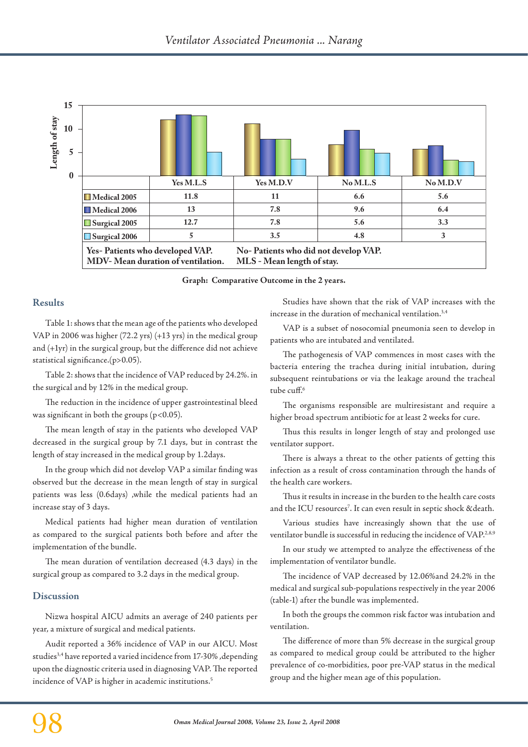

**Graph: Comparative Outcome in the 2 years.**

## **Results**

Table 1: shows that the mean age of the patients who developed VAP in 2006 was higher (72.2 yrs) (+13 yrs) in the medical group and (+1yr) in the surgical group, but the difference did not achieve statistical significance.(p>0.05).

Table 2: shows that the incidence of VAP reduced by 24.2%. in the surgical and by 12% in the medical group.

The reduction in the incidence of upper gastrointestinal bleed was significant in both the groups  $(p<0.05)$ .

The mean length of stay in the patients who developed VAP decreased in the surgical group by 7.1 days, but in contrast the length of stay increased in the medical group by 1.2days.

In the group which did not develop VAP a similar finding was observed but the decrease in the mean length of stay in surgical patients was less (0.6days) ,while the medical patients had an increase stay of 3 days.

Medical patients had higher mean duration of ventilation as compared to the surgical patients both before and after the implementation of the bundle.

The mean duration of ventilation decreased (4.3 days) in the surgical group as compared to 3.2 days in the medical group.

### **Discussion**

Nizwa hospital AICU admits an average of 240 patients per year, a mixture of surgical and medical patients.

Audit reported a 36% incidence of VAP in our AICU. Most studies3,4 have reported a varied incidence from 17-30% ,depending upon the diagnostic criteria used in diagnosing VAP. The reported incidence of VAP is higher in academic institutions.<sup>5</sup>

Studies have shown that the risk of VAP increases with the increase in the duration of mechanical ventilation.<sup>3,4</sup>

VAP is a subset of nosocomial pneumonia seen to develop in patients who are intubated and ventilated.

The pathogenesis of VAP commences in most cases with the bacteria entering the trachea during initial intubation, during subsequent reintubations or via the leakage around the tracheal tube cuff.<sup>6</sup>

The organisms responsible are multiresistant and require a higher broad spectrum antibiotic for at least 2 weeks for cure.

Thus this results in longer length of stay and prolonged use ventilator support.

There is always a threat to the other patients of getting this infection as a result of cross contamination through the hands of the health care workers.

Thus it results in increase in the burden to the health care costs and the ICU resources<sup>7</sup>. It can even result in septic shock & death.

Various studies have increasingly shown that the use of ventilator bundle is successful in reducing the incidence of VAP.<sup>2,8,9</sup>

In our study we attempted to analyze the effectiveness of the implementation of ventilator bundle.

The incidence of VAP decreased by 12.06%and 24.2% in the medical and surgical sub-populations respectively in the year 2006 (table-1) after the bundle was implemented.

In both the groups the common risk factor was intubation and ventilation.

The difference of more than 5% decrease in the surgical group as compared to medical group could be attributed to the higher prevalence of co-morbidities, poor pre-VAP status in the medical group and the higher mean age of this population.